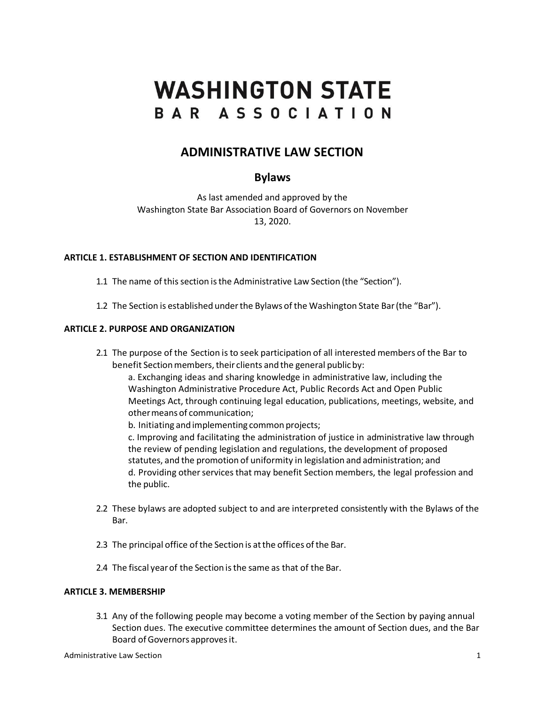# **WASHINGTON STATE** BAR ASSOCIATION

## **ADMINISTRATIVE LAW SECTION**

### **Bylaws**

As last amended and approved by the Washington State Bar Association Board of Governors on November 13, 2020.

#### **ARTICLE 1. ESTABLISHMENT OF SECTION AND IDENTIFICATION**

- 1.1 The name of this section is the Administrative Law Section (the "Section").
- 1.2 The Section is established underthe Bylaws of the Washington State Bar(the "Bar").

#### **ARTICLE 2. PURPOSE AND ORGANIZATION**

2.1 The purpose of the Section is to seek participation of all interested members of the Bar to benefit Section members, their clients and the general public by:

a. Exchanging ideas and sharing knowledge in administrative law, including the Washington Administrative Procedure Act, Public Records Act and Open Public Meetings Act, through continuing legal education, publications, meetings, website, and othermeans of communication;

b. Initiating and implementing common projects;

c. Improving and facilitating the administration of justice in administrative law through the review of pending legislation and regulations, the development of proposed statutes, and the promotion of uniformity in legislation and administration; and d. Providing other services that may benefit Section members, the legal profession and the public.

- 2.2 These bylaws are adopted subject to and are interpreted consistently with the Bylaws of the Bar.
- 2.3 The principal office of the Section is at the offices of the Bar.
- 2.4 The fiscal yearof the Section isthe same as that of the Bar.

#### **ARTICLE 3. MEMBERSHIP**

3.1 Any of the following people may become a voting member of the Section by paying annual Section dues. The executive committee determines the amount of Section dues, and the Bar Board of Governors approves it.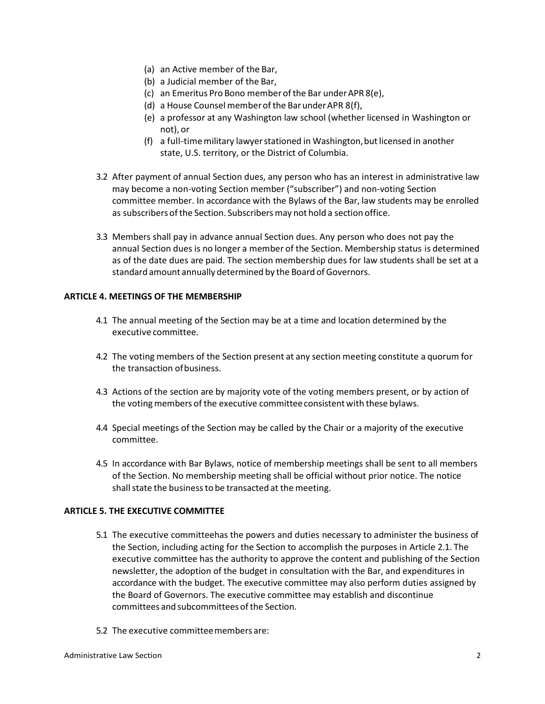- (a) an Active member of the Bar,
- (b) a Judicial member of the Bar,
- (c) an Emeritus Pro Bono member ofthe Bar underAPR 8(e),
- (d) a House Counsel memberof the BarunderAPR 8(f),
- (e) a professor at any Washington law school (whether licensed in Washington or not), or
- (f) a full-time military lawyer stationed in Washington, but licensed in another state, U.S. territory, or the District of Columbia.
- 3.2 After payment of annual Section dues, any person who has an interest in administrative law may become a non-voting Section member ("subscriber") and non-voting Section committee member. In accordance with the Bylaws of the Bar, law students may be enrolled as subscribers of the Section. Subscribers may not hold a section office.
- 3.3 Members shall pay in advance annual Section dues. Any person who does not pay the annual Section dues is no longer a member of the Section. Membership status is determined as of the date dues are paid. The section membership dues for law students shall be set at a standard amount annually determined by the Board of Governors.

#### **ARTICLE 4. MEETINGS OF THE MEMBERSHIP**

- 4.1 The annual meeting of the Section may be at a time and location determined by the executive committee.
- 4.2 The voting members of the Section present at any section meeting constitute a quorum for the transaction ofbusiness.
- 4.3 Actions of the section are by majority vote of the voting members present, or by action of the voting members of the executive committee consistent with these bylaws.
- 4.4 Special meetings of the Section may be called by the Chair or a majority of the executive committee.
- 4.5 In accordance with Bar Bylaws, notice of membership meetings shall be sent to all members of the Section. No membership meeting shall be official without prior notice. The notice shall state the business to be transacted at the meeting.

#### **ARTICLE 5. THE EXECUTIVE COMMITTEE**

- 5.1 The executive committeehas the powers and duties necessary to administer the business of the Section, including acting for the Section to accomplish the purposes in Article 2.1. The executive committee has the authority to approve the content and publishing of the Section newsletter, the adoption of the budget in consultation with the Bar, and expenditures in accordance with the budget. The executive committee may also perform duties assigned by the Board of Governors. The executive committee may establish and discontinue committees and subcommittees of the Section.
- 5.2 The executive committeemembers are: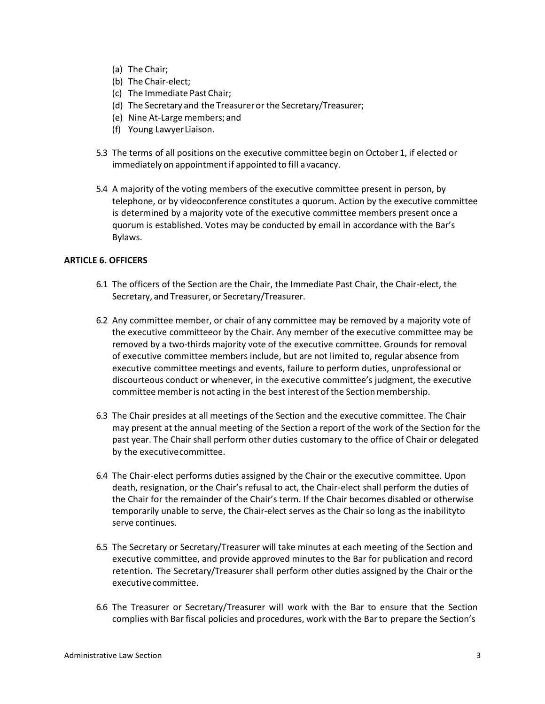- (a) The Chair;
- (b) The Chair-elect;
- (c) The Immediate PastChair;
- (d) The Secretary and the Treasureror the Secretary/Treasurer;
- (e) Nine At-Large members; and
- (f) Young LawyerLiaison.
- 5.3 The terms of all positions on the executive committee begin on October 1, if elected or immediately on appointment if appointed to fill a vacancy.
- 5.4 A majority of the voting members of the executive committee present in person, by telephone, or by videoconference constitutes a quorum. Action by the executive committee is determined by a majority vote of the executive committee members present once a quorum is established. Votes may be conducted by email in accordance with the Bar's Bylaws.

#### **ARTICLE 6. OFFICERS**

- 6.1 The officers of the Section are the Chair, the Immediate Past Chair, the Chair-elect, the Secretary, and Treasurer, or Secretary/Treasurer.
- 6.2 Any committee member, or chair of any committee may be removed by a majority vote of the executive committeeor by the Chair. Any member of the executive committee may be removed by a two-thirds majority vote of the executive committee. Grounds for removal of executive committee members include, but are not limited to, regular absence from executive committee meetings and events, failure to perform duties, unprofessional or discourteous conduct or whenever, in the executive committee's judgment, the executive committee member is not acting in the best interest of the Section membership.
- 6.3 The Chair presides at all meetings of the Section and the executive committee. The Chair may present at the annual meeting of the Section a report of the work of the Section for the past year. The Chair shall perform other duties customary to the office of Chair or delegated by the executivecommittee.
- 6.4 The Chair-elect performs duties assigned by the Chair or the executive committee. Upon death, resignation, or the Chair's refusal to act, the Chair-elect shall perform the duties of the Chair for the remainder of the Chair's term. If the Chair becomes disabled or otherwise temporarily unable to serve, the Chair-elect serves as the Chair so long as the inabilityto serve continues.
- 6.5 The Secretary or Secretary/Treasurer will take minutes at each meeting of the Section and executive committee, and provide approved minutes to the Bar for publication and record retention. The Secretary/Treasurer shall perform other duties assigned by the Chair or the executive committee.
- 6.6 The Treasurer or Secretary/Treasurer will work with the Bar to ensure that the Section complies with Bar fiscal policies and procedures, work with the Barto prepare the Section's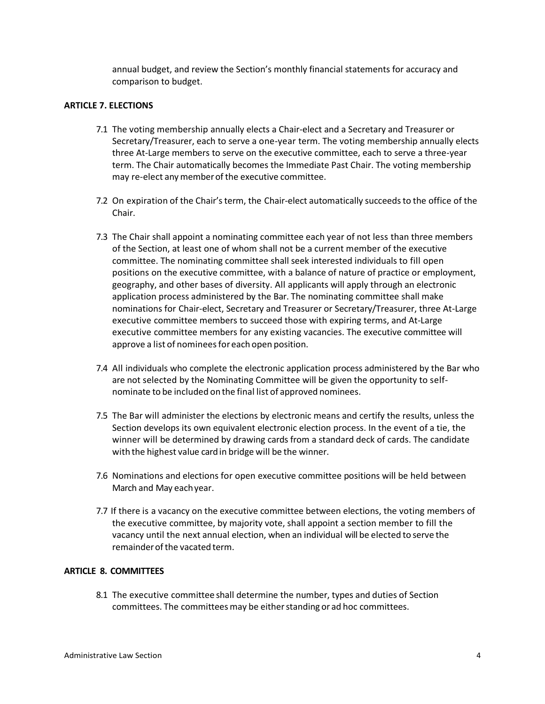annual budget, and review the Section's monthly financial statements for accuracy and comparison to budget.

#### **ARTICLE 7. ELECTIONS**

- 7.1 The voting membership annually elects a Chair-elect and a Secretary and Treasurer or Secretary/Treasurer, each to serve a one-year term. The voting membership annually elects three At-Large members to serve on the executive committee, each to serve a three-year term. The Chair automatically becomes the Immediate Past Chair. The voting membership may re-elect anymemberof the executive committee.
- 7.2 On expiration of the Chair'sterm, the Chair-elect automatically succeedsto the office of the Chair.
- 7.3 The Chair shall appoint a nominating committee each year of not less than three members of the Section, at least one of whom shall not be a current member of the executive committee. The nominating committee shall seek interested individuals to fill open positions on the executive committee, with a balance of nature of practice or employment, geography, and other bases of diversity. All applicants will apply through an electronic application process administered by the Bar. The nominating committee shall make nominations for Chair-elect, Secretary and Treasurer or Secretary/Treasurer, three At-Large executive committee members to succeed those with expiring terms, and At-Large executive committee members for any existing vacancies. The executive committee will approve a list of nominees for each open position.
- 7.4 All individuals who complete the electronic application process administered by the Bar who are not selected by the Nominating Committee will be given the opportunity to selfnominate to be included on the final list of approved nominees.
- 7.5 The Bar will administer the elections by electronic means and certify the results, unless the Section develops its own equivalent electronic election process. In the event of a tie, the winner will be determined by drawing cards from a standard deck of cards. The candidate with the highest value cardin bridge will be the winner.
- 7.6 Nominations and elections for open executive committee positions will be held between March and May eachyear.
- 7.7 If there is a vacancy on the executive committee between elections, the voting members of the executive committee, by majority vote, shall appoint a section member to fill the vacancy until the next annual election, when an individual will be elected to serve the remainder of the vacated term.

#### **ARTICLE 8. COMMITTEES**

8.1 The executive committee shall determine the number, types and duties of Section committees. The committees may be either standing or ad hoc committees.